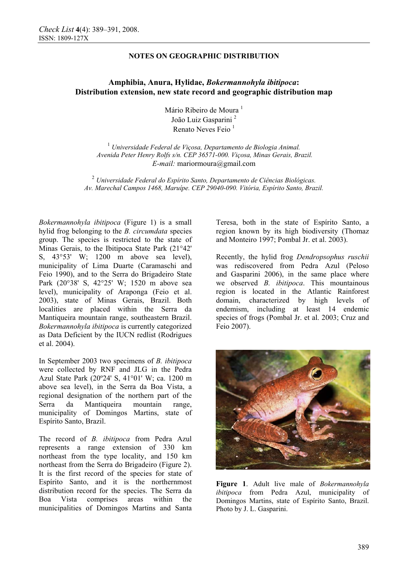## **NOTES ON GEOGRAPHIC DISTRIBUTION**

# **Amphibia, Anura, Hylidae,** *Bokermannohyla ibitipoca***: Distribution extension, new state record and geographic distribution map**

Mário Ribeiro de Moura<sup>1</sup> João Luiz Gasparini<sup>2</sup> Renato Neves Feio $<sup>1</sup>$ </sup>

<sup>1</sup> Universidade Federal de Viçosa, Departamento de Biologia Animal.  *Avenida Peter Henry Rolfs s/n. CEP 36571-000. Viçosa, Minas Gerais, Brazil. E-mail:* mariormoura@gmail.com

<sup>2</sup> *Universidade Federal do Espírito Santo, Departamento de Ciências Biológicas. Av. Marechal Campos 1468, Maruípe. CEP 29040-090. Vitória, Espírito Santo, Brazil.* 

*Bokermannohyla ibitipoca* (Figure 1) is a small hylid frog belonging to the *B. circumdata* species group. The species is restricted to the state of Minas Gerais, to the Ibitipoca State Park (21°42' S, 43°53' W; 1200 m above sea level), municipality of Lima Duarte (Caramaschi and Feio 1990), and to the Serra do Brigadeiro State Park (20°38' S, 42°25' W; 1520 m above sea level), municipality of Araponga (Feio et al. 2003), state of Minas Gerais, Brazil. Both localities are placed within the Serra da Mantiqueira mountain range, southeastern Brazil. *Bokermannohyla ibitipoca* is currently categorized as Data Deficient by the IUCN redlist (Rodrigues et al. 2004).

In September 2003 two specimens of *B. ibitipoca* were collected by RNF and JLG in the Pedra Azul State Park (20º24' S, 41°01' W; ca. 1200 m above sea level), in the Serra da Boa Vista, a regional designation of the northern part of the Serra da Mantiqueira mountain range, municipality of Domingos Martins, state of Espírito Santo, Brazil.

The record of *B. ibitipoca* from Pedra Azul represents a range extension of 330 km northeast from the type locality, and 150 km northeast from the Serra do Brigadeiro (Figure 2). It is the first record of the species for state of Espírito Santo, and it is the northernmost distribution record for the species. The Serra da Boa Vista comprises areas within the municipalities of Domingos Martins and Santa

Teresa, both in the state of Espírito Santo, a region known by its high biodiversity (Thomaz and Monteiro 1997; Pombal Jr. et al. 2003).

Recently, the hylid frog *Dendropsophus ruschii* was rediscovered from Pedra Azul (Peloso and Gasparini 2006), in the same place where we observed *B. ibitipoca*. This mountainous region is located in the Atlantic Rainforest domain, characterized by high levels of endemism, including at least 14 endemic species of frogs (Pombal Jr. et al. 2003; Cruz and Feio 2007).



**Figure 1**. Adult live male of *Bokermannohyla ibitipoca* from Pedra Azul, municipality of Domingos Martins, state of Espírito Santo, Brazil. Photo by J. L. Gasparini.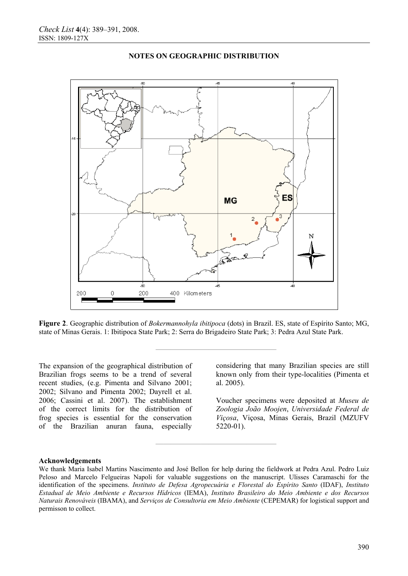

### **NOTES ON GEOGRAPHIC DISTRIBUTION**

**Figure 2**. Geographic distribution of *Bokermannohyla ibitipoca* (dots) in Brazil. ES, state of Espírito Santo; MG, state of Minas Gerais. 1: Ibitipoca State Park; 2: Serra do Brigadeiro State Park; 3: Pedra Azul State Park.

**————————————————** 

**————————————————** 

The expansion of the geographical distribution of Brazilian frogs seems to be a trend of several recent studies, (e.g. Pimenta and Silvano 2001; 2002; Silvano and Pimenta 2002; Dayrell et al. 2006; Cassini et al. 2007). The establishment of the correct limits for the distribution of frog species is essential for the conservation of the Brazilian anuran fauna, especially

considering that many Brazilian species are still known only from their type-localities (Pimenta et al. 2005).

Voucher specimens were deposited at *Museu de Zoologia João Moojen*, *Universidade Federal de Viçosa*, Viçosa, Minas Gerais, Brazil (MZUFV 5220-01).

#### **Acknowledgements**

We thank Maria Isabel Martins Nascimento and José Bellon for help during the fieldwork at Pedra Azul. Pedro Luiz Peloso and Marcelo Felgueiras Napoli for valuable suggestions on the manuscript. Ulisses Caramaschi for the identification of the specimens. *Instituto de Defesa Agropecuária e Florestal do Espírito Santo* (IDAF), *Instituto Estadual de Meio Ambiente e Recursos Hídricos* (IEMA), *Instituto Brasileiro do Meio Ambiente e dos Recursos Naturais Renováveis* (IBAMA), and *Serviços de Consultoria em Meio Ambiente* (CEPEMAR) for logistical support and permisson to collect.